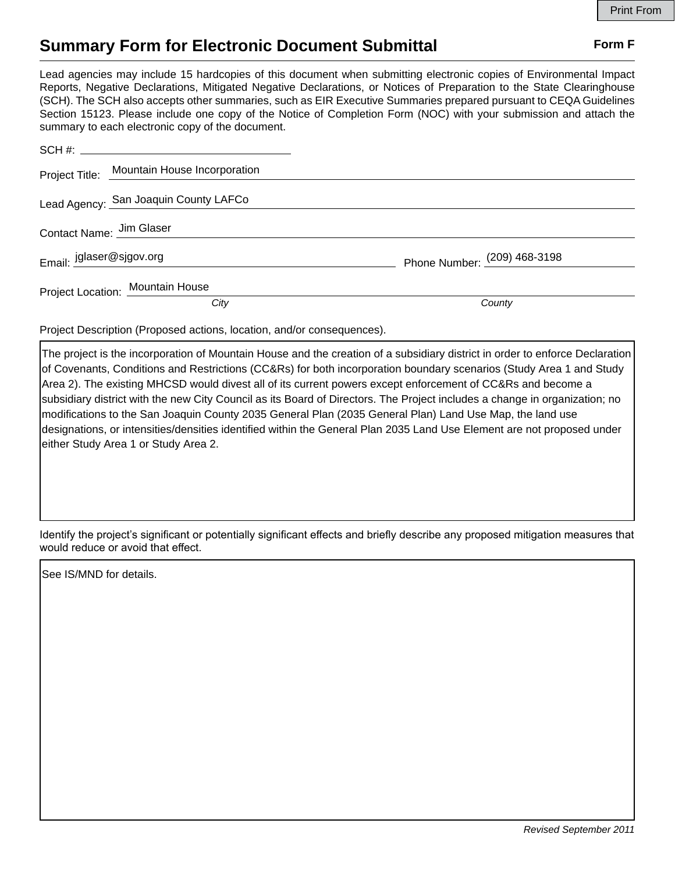## **Summary Form for Electronic Document Submittal Form F Form F**

Lead agencies may include 15 hardcopies of this document when submitting electronic copies of Environmental Impact Reports, Negative Declarations, Mitigated Negative Declarations, or Notices of Preparation to the State Clearinghouse (SCH). The SCH also accepts other summaries, such as EIR Executive Summaries prepared pursuant to CEQA Guidelines Section 15123. Please include one copy of the Notice of Completion Form (NOC) with your submission and attach the summary to each electronic copy of the document.

|                          | Project Title: Mountain House Incorporation |                              |
|--------------------------|---------------------------------------------|------------------------------|
|                          | Lead Agency: San Joaquin County LAFCo       |                              |
| Contact Name: Jim Glaser |                                             |                              |
| Email: jglaser@sjgov.org |                                             | Phone Number: (209) 468-3198 |
|                          | <b>Project Location: Mountain House</b>     |                              |
|                          | City                                        | County                       |

Project Description (Proposed actions, location, and/or consequences).

The project is the incorporation of Mountain House and the creation of a subsidiary district in order to enforce Declaration of Covenants, Conditions and Restrictions (CC&Rs) for both incorporation boundary scenarios (Study Area 1 and Study Area 2). The existing MHCSD would divest all of its current powers except enforcement of CC&Rs and become a subsidiary district with the new City Council as its Board of Directors. The Project includes a change in organization; no modifications to the San Joaquin County 2035 General Plan (2035 General Plan) Land Use Map, the land use designations, or intensities/densities identified within the General Plan 2035 Land Use Element are not proposed under either Study Area 1 or Study Area 2.

Identify the project's significant or potentially significant effects and briefly describe any proposed mitigation measures that would reduce or avoid that effect.

See IS/MND for details.